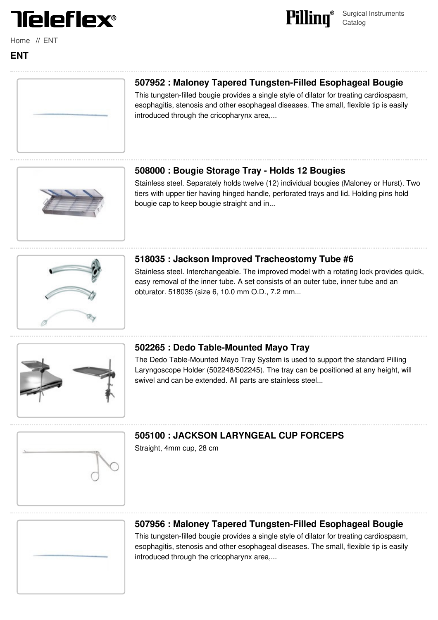

[Home](file:///surgical/pilling/home) // [ENT](file:///surgical/pilling/specialty/ent)



# **507952 : Maloney Tapered [Tungsten-Filled](file:///pilling/product/507952-maloney-tapered-tungsten-filled-esophageal-bougie) Esophageal Bougie**

Surgical Instruments

Catalog

Pilling®

This tungsten-filled bougie provides a single style of dilator for treating cardiospasm, esophagitis, stenosis and other esophageal diseases. The small, flexible tip is easily introduced through the cricopharynx area,...

# **508000 : Bougie Storage Tray - Holds 12 [Bougies](file:///pilling/product/508000-bougie-storage-tray-holds-12-bougies--22)**

Stainless steel. Separately holds twelve (12) individual bougies (Maloney or Hurst). Two tiers with upper tier having hinged handle, perforated trays and lid. Holding pins hold bougie cap to keep bougie straight and in...

### **518035 : Jackson Improved [Tracheostomy](file:///pilling/product/518035-jackson-improved-tracheostomy-tube-6) Tube #6**

Stainless steel. Interchangeable. The improved model with a rotating lock provides quick, easy removal of the inner tube. A set consists of an outer tube, inner tube and an obturator. 518035 (size 6, 10.0 mm O.D., 7.2 mm...



### **502265 : Dedo [Table-Mounted](file:///pilling/product/502265-dedo-table-mounted-mayo-tray--22) Mayo Tray**

The Dedo Table-Mounted Mayo Tray System is used to support the standard Pilling Laryngoscope Holder (502248/502245). The tray can be positioned at any height, will swivel and can be extended. All parts are stainless steel...



# **505100 : JACKSON [LARYNGEAL](file:///pilling/product/505100-jackson-laryngeal-cup-forceps) CUP FORCEPS**

Straight, 4mm cup, 28 cm



### **507956 : Maloney Tapered [Tungsten-Filled](file:///pilling/product/507956-maloney-tapered-tungsten-filled-esophageal-bougie) Esophageal Bougie**

This tungsten-filled bougie provides a single style of dilator for treating cardiospasm, esophagitis, stenosis and other esophageal diseases. The small, flexible tip is easily introduced through the cricopharynx area,...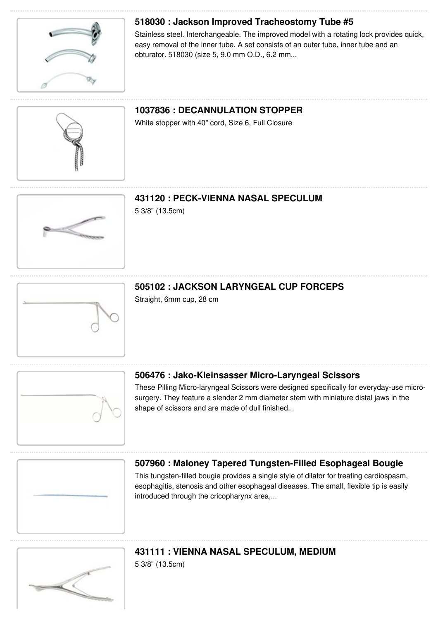

# **518030 : Jackson Improved [Tracheostomy](file:///pilling/product/518030-jackson-improved-tracheostomy-tube-5) Tube #5**

Stainless steel. Interchangeable. The improved model with a rotating lock provides quick, easy removal of the inner tube. A set consists of an outer tube, inner tube and an obturator. 518030 (size 5, 9.0 mm O.D., 6.2 mm...

# **1037836 : [DECANNULATION](file:///pilling/product/1037836-decannulation-stopper) STOPPER**

White stopper with 40" cord, Size 6, Full Closure

# **431120 : [PECK-VIENNA](file:///pilling/product/431120-peck-vienna-nasal-speculum) NASAL SPECULUM**

5 3/8" (13.5cm)

# **505102 : JACKSON [LARYNGEAL](file:///pilling/product/505102-jackson-laryngeal-cup-forceps) CUP FORCEPS**

Straight, 6mm cup, 28 cm



### **506476 : [Jako-Kleinsasser](file:///pilling/product/506476-jako-kleinsasser-micro-laryngeal-scissors) Micro-Laryngeal Scissors**

These Pilling Micro-laryngeal Scissors were designed specifically for everyday-use microsurgery. They feature a slender 2 mm diameter stem with miniature distal jaws in the shape of scissors and are made of dull finished...

### **507960 : Maloney Tapered [Tungsten-Filled](file:///pilling/product/507960-maloney-tapered-tungsten-filled-esophageal-bougie) Esophageal Bougie**

This tungsten-filled bougie provides a single style of dilator for treating cardiospasm, esophagitis, stenosis and other esophageal diseases. The small, flexible tip is easily introduced through the cricopharynx area....



# **431111 : VIENNA NASAL [SPECULUM,](file:///pilling/product/431111-vienna-nasal-speculum-medium) MEDIUM**

5 3/8" (13.5cm)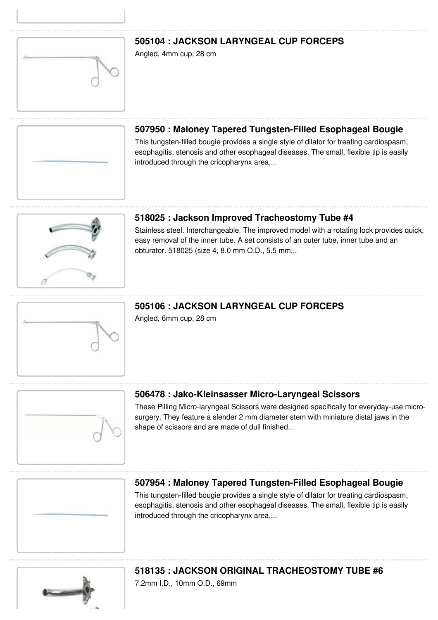### **505104 : JACKSON [LARYNGEAL](file:///pilling/product/505104-jackson-laryngeal-cup-forceps) CUP FORCEPS**

Angled, 4mm cup, 28 cm

### **507950 : Maloney Tapered [Tungsten-Filled](file:///pilling/product/507950-maloney-tapered-tungsten-filled-esophageal-bougie) Esophageal Bougie**

This tungsten-filled bougie provides a single style of dilator for treating cardiospasm, esophagitis, stenosis and other esophageal diseases. The small, flexible tip is easily introduced through the cricopharynx area,...

### **518025 : Jackson Improved [Tracheostomy](file:///pilling/product/518025-jackson-improved-tracheostomy-tube-4) Tube #4**

Stainless steel. Interchangeable. The improved model with a rotating lock provides quick, easy removal of the inner tube. A set consists of an outer tube, inner tube and an obturator. 518025 (size 4, 8.0 mm O.D., 5.5 mm...

# **505106 : JACKSON [LARYNGEAL](file:///pilling/product/505106-jackson-laryngeal-cup-forceps) CUP FORCEPS**

Angled, 6mm cup, 28 cm

# **506478 : [Jako-Kleinsasser](file:///pilling/product/506478-jako-kleinsasser-micro-laryngeal-scissors) Micro-Laryngeal Scissors**

These Pilling Micro-laryngeal Scissors were designed specifically for everyday-use microsurgery. They feature a slender 2 mm diameter stem with miniature distal jaws in the shape of scissors and are made of dull finished...

### **507954 : Maloney Tapered [Tungsten-Filled](file:///pilling/product/507954-maloney-tapered-tungsten-filled-esophageal-bougie) Esophageal Bougie**

This tungsten-filled bougie provides a single style of dilator for treating cardiospasm, esophagitis, stenosis and other esophageal diseases. The small, flexible tip is easily introduced through the cricopharynx area,...

# **518135 : JACKSON ORIGINAL [TRACHEOSTOMY](file:///pilling/product/518135-jackson-original-tracheostomy-tube-6) TUBE #6**

7.2mm I.D., 10mm O.D., 69mm